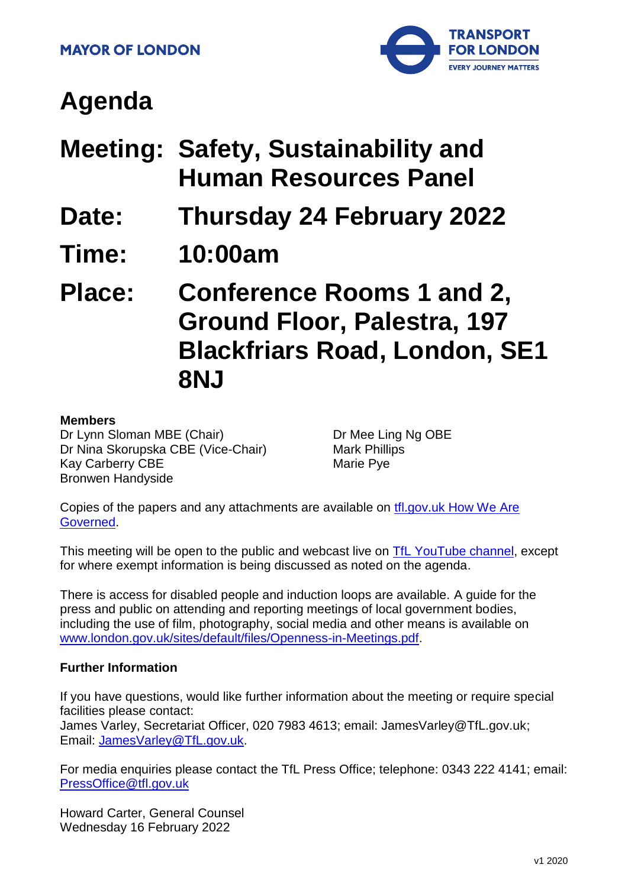

# **Agenda**

- **Meeting: Safety, Sustainability and Human Resources Panel**
- **Date: Thursday 24 February 2022**
- **Time: 10:00am**

**Place: Conference Rooms 1 and 2, Ground Floor, Palestra, 197 Blackfriars Road, London, SE1 8NJ**

#### **Members**

Dr Lynn Sloman MBE (Chair) Dr Nina Skorupska CBE (Vice-Chair) Kay Carberry CBE Bronwen Handyside

Dr Mee Ling Ng OBE Mark Phillips Marie Pye

Copies of the papers and any attachments are available on [tfl.gov.uk How We Are](http://www.tfl.gov.uk/corporate/about-tfl/how-we-work/how-we-are-governed)  [Governed.](http://www.tfl.gov.uk/corporate/about-tfl/how-we-work/how-we-are-governed)

This meeting will be open to the public and webcast live on [TfL YouTube channel,](https://www.youtube.com/watch?v=_2U9viPQ9WE&list=PLtnlusA0Zoggk4qvN68OcnD9k_7B8cY_d) except for where exempt information is being discussed as noted on the agenda.

There is access for disabled people and induction loops are available. A guide for the press and public on attending and reporting meetings of local government bodies, including the use of film, photography, social media and other means is available on [www.london.gov.uk/sites/default/files/Openness-in-Meetings.pdf.](http://www.london.gov.uk/sites/default/files/Openness-in-Meetings.pdf)

#### **Further Information**

If you have questions, would like further information about the meeting or require special facilities please contact:

James Varley, Secretariat Officer, 020 7983 4613; email: JamesVarley@TfL.gov.uk; Email: [JamesVarley@TfL.gov.uk.](mailto:Secretariat02@tfl.gov.uk)

For media enquiries please contact the TfL Press Office; telephone: 0343 222 4141; email: [PressOffice@tfl.gov.uk](mailto:PressOffice@tfl.gov.uk)

Howard Carter, General Counsel Wednesday 16 February 2022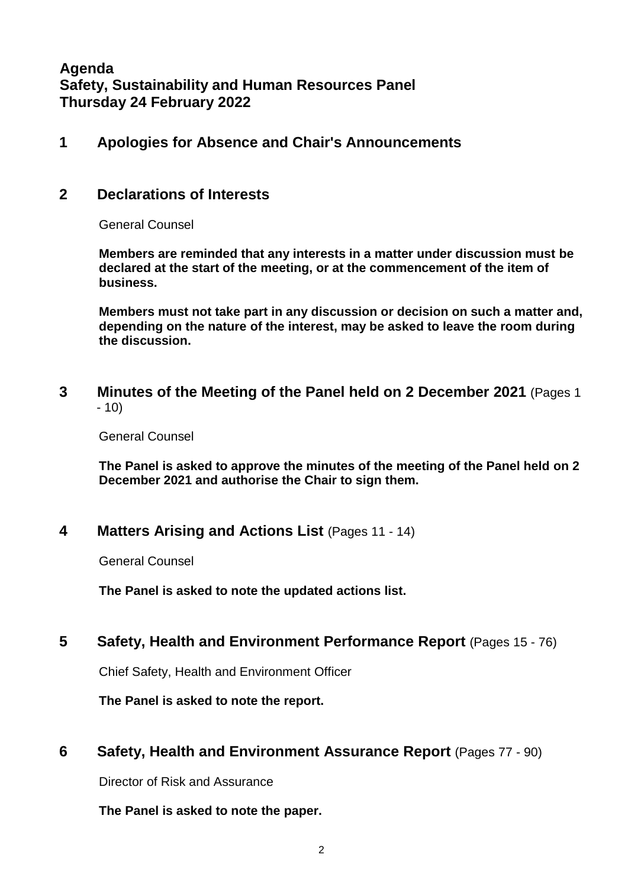**Agenda Safety, Sustainability and Human Resources Panel Thursday 24 February 2022**

#### **1 Apologies for Absence and Chair's Announcements**

#### **2 Declarations of Interests**

General Counsel

**Members are reminded that any interests in a matter under discussion must be declared at the start of the meeting, or at the commencement of the item of business.** 

**Members must not take part in any discussion or decision on such a matter and, depending on the nature of the interest, may be asked to leave the room during the discussion.**

**3 Minutes of the Meeting of the Panel held on 2 December 2021** (Pages 1 - 10)

General Counsel

**The Panel is asked to approve the minutes of the meeting of the Panel held on 2 December 2021 and authorise the Chair to sign them.**

#### **4 Matters Arising and Actions List** (Pages 11 - 14)

General Counsel

**The Panel is asked to note the updated actions list.**

### **5 Safety, Health and Environment Performance Report** (Pages 15 - 76)

Chief Safety, Health and Environment Officer

**The Panel is asked to note the report.**

### **6 Safety, Health and Environment Assurance Report** (Pages 77 - 90)

Director of Risk and Assurance

**The Panel is asked to note the paper.**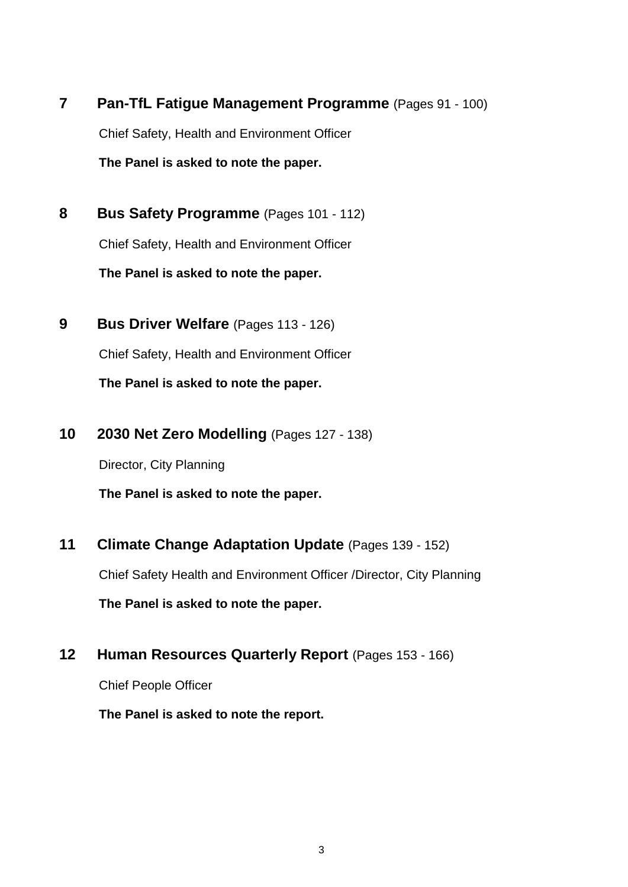**7 Pan-TfL Fatigue Management Programme** (Pages 91 - 100) Chief Safety, Health and Environment Officer **The Panel is asked to note the paper.** 

**8 Bus Safety Programme** (Pages 101 - 112) Chief Safety, Health and Environment Officer **The Panel is asked to note the paper.**

- **9 Bus Driver Welfare** (Pages 113 126) Chief Safety, Health and Environment Officer **The Panel is asked to note the paper.**
- **10 2030 Net Zero Modelling** (Pages 127 138)

Director, City Planning

**The Panel is asked to note the paper.**

**11 Climate Change Adaptation Update** (Pages 139 - 152)

Chief Safety Health and Environment Officer /Director, City Planning

**The Panel is asked to note the paper.** 

## **12 Human Resources Quarterly Report** (Pages 153 - 166)

Chief People Officer

**The Panel is asked to note the report.**